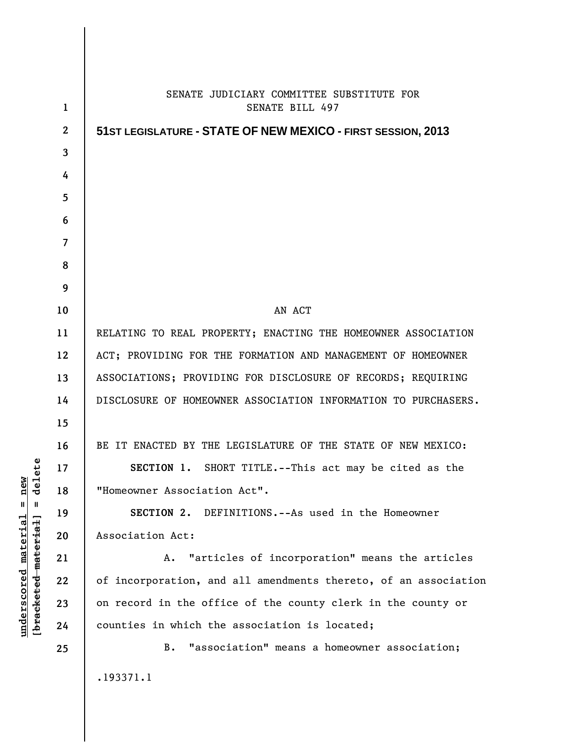| $\mathbf{1}$   | SENATE JUDICIARY COMMITTEE SUBSTITUTE FOR<br>SENATE BILL 497    |
|----------------|-----------------------------------------------------------------|
| $\mathbf{2}$   | 51 ST LEGISLATURE - STATE OF NEW MEXICO - FIRST SESSION, 2013   |
| 3              |                                                                 |
| 4              |                                                                 |
| 5              |                                                                 |
| 6              |                                                                 |
| $\overline{7}$ |                                                                 |
| 8              |                                                                 |
| 9              |                                                                 |
| 10             | AN ACT                                                          |
| 11             | RELATING TO REAL PROPERTY; ENACTING THE HOMEOWNER ASSOCIATION   |
| 12             | ACT; PROVIDING FOR THE FORMATION AND MANAGEMENT OF HOMEOWNER    |
| 13             | ASSOCIATIONS; PROVIDING FOR DISCLOSURE OF RECORDS; REQUIRING    |
| 14             | DISCLOSURE OF HOMEOWNER ASSOCIATION INFORMATION TO PURCHASERS.  |
| 15             |                                                                 |
| 16             | BE IT ENACTED BY THE LEGISLATURE OF THE STATE OF NEW MEXICO:    |
| 17             | SECTION 1. SHORT TITLE.--This act may be cited as the           |
| 18             | "Homeowner Association Act".                                    |
| 19             | SECTION 2. DEFINITIONS.--As used in the Homeowner               |
| 20             | Association Act:                                                |
| 21             | "articles of incorporation" means the articles<br>A.            |
| 22             | of incorporation, and all amendments thereto, of an association |
| 23             | on record in the office of the county clerk in the county or    |
| 24             | counties in which the association is located;                   |
| 25             | "association" means a homeowner association;<br>B.              |
|                | .193371.1                                                       |
|                |                                                                 |

**underscored material = new [bracketed material] = delete**

 $[**bracket eted metert et**] = **del et e**$  $underscored material = new$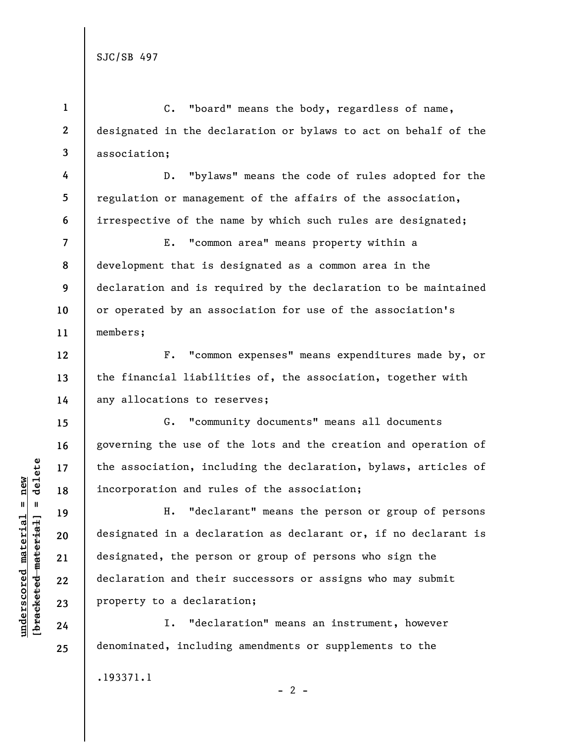**4** 

**5** 

**6** 

**12** 

**13** 

**14** 

**15** 

**16** 

**17** 

**18** 

**19** 

**20** 

**21** 

**22** 

**23** 

**24** 

**25** 

**1 2 3**  C. "board" means the body, regardless of name, designated in the declaration or bylaws to act on behalf of the association;

D. "bylaws" means the code of rules adopted for the regulation or management of the affairs of the association, irrespective of the name by which such rules are designated;

**7 8 9 10 11**  E. "common area" means property within a development that is designated as a common area in the declaration and is required by the declaration to be maintained or operated by an association for use of the association's members;

F. "common expenses" means expenditures made by, or the financial liabilities of, the association, together with any allocations to reserves;

G. "community documents" means all documents governing the use of the lots and the creation and operation of the association, including the declaration, bylaws, articles of incorporation and rules of the association;

H. "declarant" means the person or group of persons designated in a declaration as declarant or, if no declarant is designated, the person or group of persons who sign the declaration and their successors or assigns who may submit property to a declaration;

 $- 2 -$ 

I. "declaration" means an instrument, however denominated, including amendments or supplements to the

.193371.1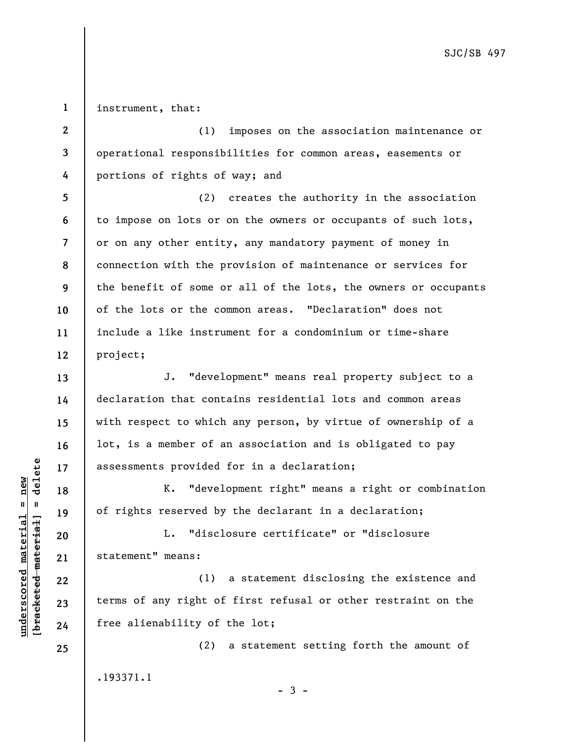**1**  instrument, that:

**5** 

**6** 

**7** 

**8** 

**9** 

**10** 

**11** 

**12** 

**13** 

**14** 

**15** 

**16** 

**17** 

**18** 

**19** 

**21** 

**22** 

**23** 

**24** 

**2 3 4**  (1) imposes on the association maintenance or operational responsibilities for common areas, easements or portions of rights of way; and

(2) creates the authority in the association to impose on lots or on the owners or occupants of such lots, or on any other entity, any mandatory payment of money in connection with the provision of maintenance or services for the benefit of some or all of the lots, the owners or occupants of the lots or the common areas. "Declaration" does not include a like instrument for a condominium or time-share project;

J. "development" means real property subject to a declaration that contains residential lots and common areas with respect to which any person, by virtue of ownership of a lot, is a member of an association and is obligated to pay assessments provided for in a declaration;

K. "development right" means a right or combination of rights reserved by the declarant in a declaration;

**20**  L. "disclosure certificate" or "disclosure statement" means:

(1) a statement disclosing the existence and terms of any right of first refusal or other restraint on the free alienability of the lot;

(2) a statement setting forth the amount of .193371.1

 $b$ racketed material] = delete **[bracketed material] = delete**  $underscored material = new$ **underscored material = new**

**25** 

 $-3 -$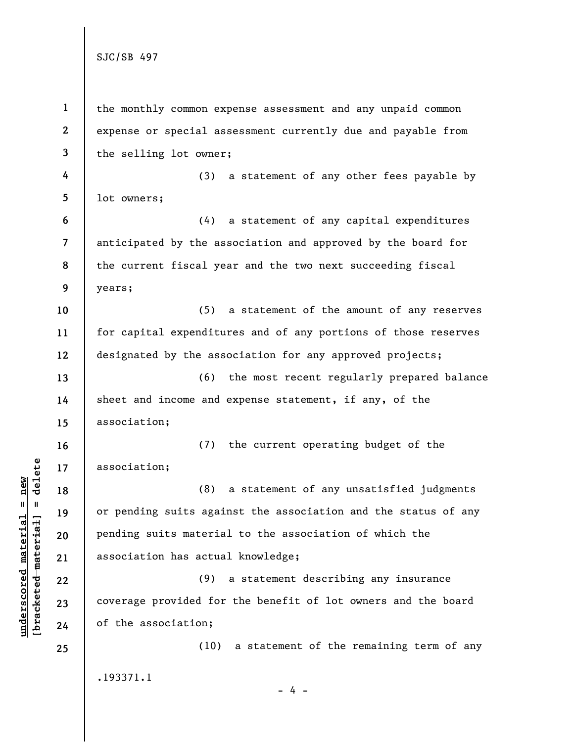**1 2 3 4 5 6 7 8 9 10 11 12 13 14 15 16 17 18 19 20 21 22 23 24 25**  the monthly common expense assessment and any unpaid common expense or special assessment currently due and payable from the selling lot owner; (3) a statement of any other fees payable by lot owners; (4) a statement of any capital expenditures anticipated by the association and approved by the board for the current fiscal year and the two next succeeding fiscal years; (5) a statement of the amount of any reserves for capital expenditures and of any portions of those reserves designated by the association for any approved projects; (6) the most recent regularly prepared balance sheet and income and expense statement, if any, of the association; (7) the current operating budget of the association; (8) a statement of any unsatisfied judgments or pending suits against the association and the status of any pending suits material to the association of which the association has actual knowledge; (9) a statement describing any insurance coverage provided for the benefit of lot owners and the board of the association; (10) a statement of the remaining term of any .193371.1  $- 4 -$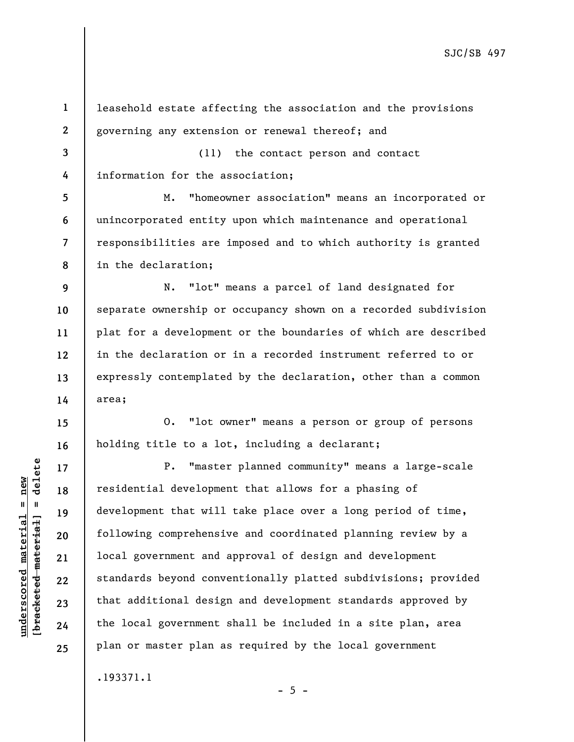**1 2 3 4 5 6 7 8 9 10 11 12 13 14 15 16 17 18 19 20 21 22 23 24 25**  leasehold estate affecting the association and the provisions governing any extension or renewal thereof; and (11) the contact person and contact information for the association; M. "homeowner association" means an incorporated or unincorporated entity upon which maintenance and operational responsibilities are imposed and to which authority is granted in the declaration; N. "lot" means a parcel of land designated for separate ownership or occupancy shown on a recorded subdivision plat for a development or the boundaries of which are described in the declaration or in a recorded instrument referred to or expressly contemplated by the declaration, other than a common area; O. "lot owner" means a person or group of persons holding title to a lot, including a declarant; P. "master planned community" means a large-scale residential development that allows for a phasing of development that will take place over a long period of time, following comprehensive and coordinated planning review by a local government and approval of design and development standards beyond conventionally platted subdivisions; provided that additional design and development standards approved by the local government shall be included in a site plan, area plan or master plan as required by the local government .193371.1

**underscored material = new [bracketed material] = delete**

 $b$ racketed material] = delete  $underscored material = new$ 

 $- 5 -$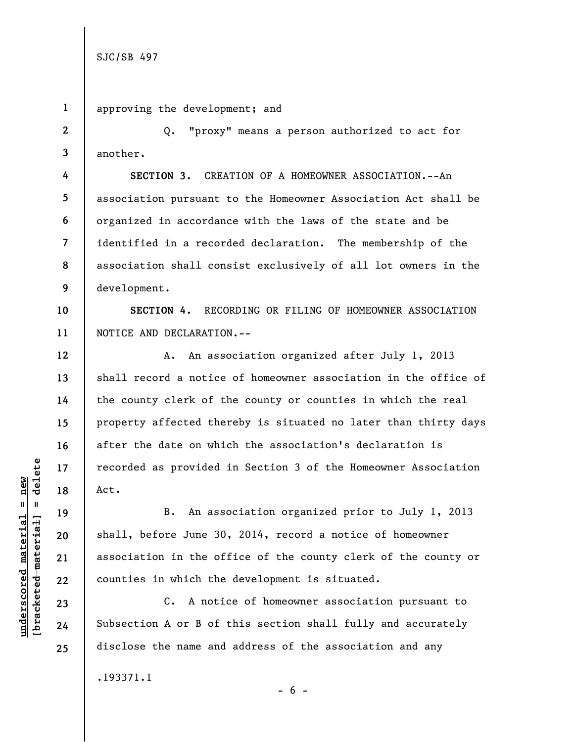**2** 

**3** 

**4** 

**5** 

**6** 

**7** 

**8** 

**9** 

**12** 

**13** 

**14** 

**15** 

**16** 

**17** 

**18** 

**19** 

**20** 

**21** 

**22** 

**23** 

**24** 

**25** 

**1**  approving the development; and

Q. "proxy" means a person authorized to act for another.

**SECTION 3.** CREATION OF A HOMEOWNER ASSOCIATION.--An association pursuant to the Homeowner Association Act shall be organized in accordance with the laws of the state and be identified in a recorded declaration. The membership of the association shall consist exclusively of all lot owners in the development.

**10 11 SECTION 4.** RECORDING OR FILING OF HOMEOWNER ASSOCIATION NOTICE AND DECLARATION.--

A. An association organized after July 1, 2013 shall record a notice of homeowner association in the office of the county clerk of the county or counties in which the real property affected thereby is situated no later than thirty days after the date on which the association's declaration is recorded as provided in Section 3 of the Homeowner Association Act.

B. An association organized prior to July 1, 2013 shall, before June 30, 2014, record a notice of homeowner association in the office of the county clerk of the county or counties in which the development is situated.

C. A notice of homeowner association pursuant to Subsection A or B of this section shall fully and accurately disclose the name and address of the association and any .193371.1

 $b$ racketed material] = delete **[bracketed material] = delete**  $underscored material = new$ **underscored material = new**

 $- 6 -$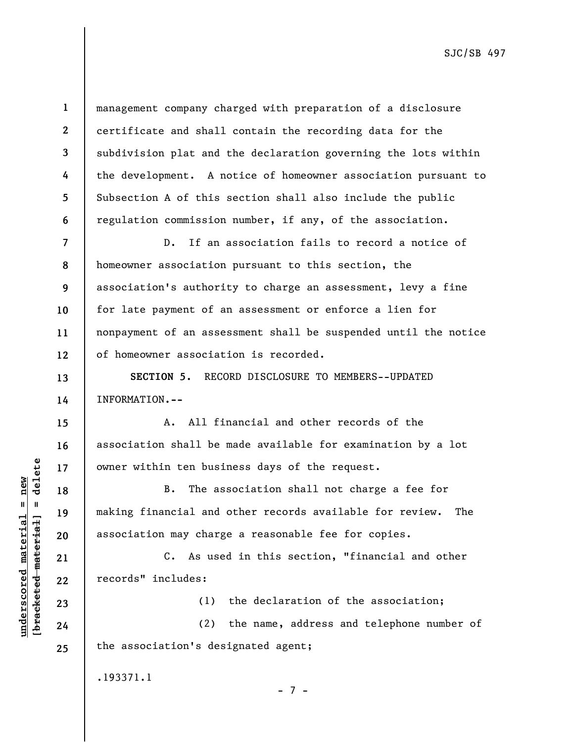**9** 

**10** 

**11** 

**12** 

**13** 

**14** 

**15** 

**16** 

**17** 

**18** 

**19** 

**20** 

**21** 

**22** 

**23** 

**24** 

**25** 

**1** 

**2** 

management company charged with preparation of a disclosure certificate and shall contain the recording data for the subdivision plat and the declaration governing the lots within the development. A notice of homeowner association pursuant to Subsection A of this section shall also include the public regulation commission number, if any, of the association.

D. If an association fails to record a notice of homeowner association pursuant to this section, the association's authority to charge an assessment, levy a fine for late payment of an assessment or enforce a lien for nonpayment of an assessment shall be suspended until the notice of homeowner association is recorded.

**SECTION 5.** RECORD DISCLOSURE TO MEMBERS--UPDATED INFORMATION**.--**

A. All financial and other records of the association shall be made available for examination by a lot owner within ten business days of the request.

B. The association shall not charge a fee for making financial and other records available for review. The association may charge a reasonable fee for copies.

C. As used in this section, "financial and other records" includes:

(1) the declaration of the association; (2) the name, address and telephone number of the association's designated agent;

.193371.1

 $\frac{1}{2}$  intereted material = delete **[bracketed material] = delete**  $underscored material = new$ **underscored material = new**

- 7 -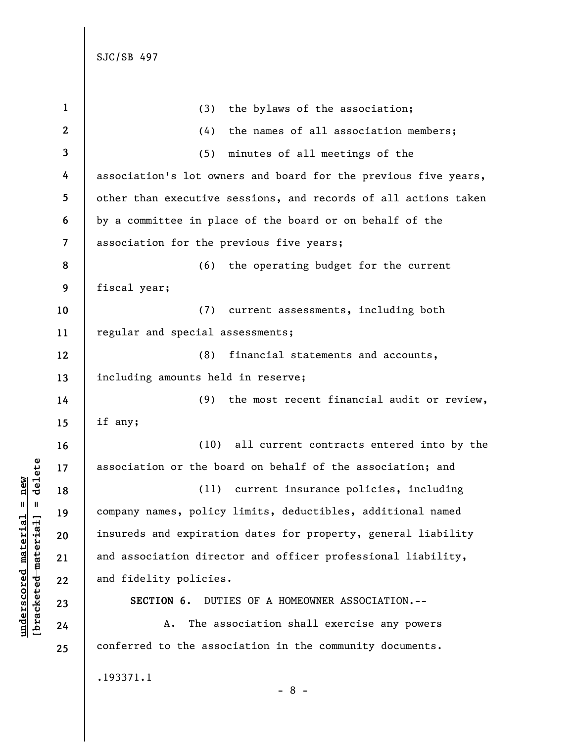| $\mathbf{1}$            | (3) the bylaws of the association;                              |
|-------------------------|-----------------------------------------------------------------|
| $\boldsymbol{2}$        | the names of all association members;<br>(4)                    |
| 3                       | (5)<br>minutes of all meetings of the                           |
| 4                       | association's lot owners and board for the previous five years, |
| 5                       | other than executive sessions, and records of all actions taken |
| 6                       | by a committee in place of the board or on behalf of the        |
| $\overline{\mathbf{z}}$ | association for the previous five years;                        |
| 8                       | (6) the operating budget for the current                        |
| 9                       | fiscal year;                                                    |
| 10                      | (7) current assessments, including both                         |
| 11                      | regular and special assessments;                                |
| 12                      | (8)<br>financial statements and accounts,                       |
| 13                      | including amounts held in reserve;                              |
| 14                      | (9) the most recent financial audit or review,                  |
| 15                      | if any;                                                         |
| 16                      | (10) all current contracts entered into by the                  |
| 17                      | association or the board on behalf of the association; and      |
| 18                      | (11) current insurance policies, including                      |
| 19                      | company names, policy limits, deductibles, additional named     |
| 20                      | insureds and expiration dates for property, general liability   |
| 21                      | and association director and officer professional liability,    |
| 22                      | and fidelity policies.                                          |
| 23                      | DUTIES OF A HOMEOWNER ASSOCIATION.--<br>SECTION 6.              |
| 24                      | The association shall exercise any powers<br>Α.                 |
| 25                      | conferred to the association in the community documents.        |
|                         | .193371.1<br>$-8-$                                              |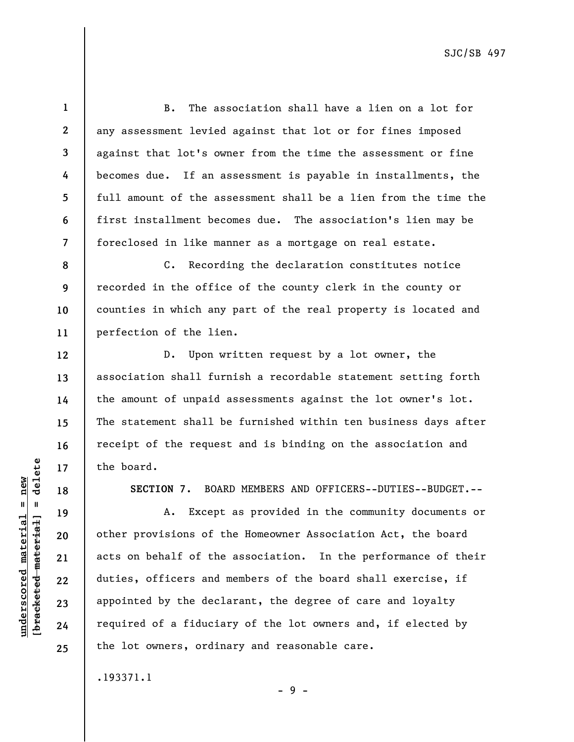**1 2 3 4 5 6 7**  B. The association shall have a lien on a lot for any assessment levied against that lot or for fines imposed against that lot's owner from the time the assessment or fine becomes due. If an assessment is payable in installments, the full amount of the assessment shall be a lien from the time the first installment becomes due. The association's lien may be foreclosed in like manner as a mortgage on real estate.

**8 9 10 11**  C. Recording the declaration constitutes notice recorded in the office of the county clerk in the county or counties in which any part of the real property is located and perfection of the lien.

D. Upon written request by a lot owner, the association shall furnish a recordable statement setting forth the amount of unpaid assessments against the lot owner's lot. The statement shall be furnished within ten business days after receipt of the request and is binding on the association and the board.

**SECTION 7.** BOARD MEMBERS AND OFFICERS--DUTIES--BUDGET.--

A. Except as provided in the community documents or other provisions of the Homeowner Association Act, the board acts on behalf of the association. In the performance of their duties, officers and members of the board shall exercise, if appointed by the declarant, the degree of care and loyalty required of a fiduciary of the lot owners and, if elected by the lot owners, ordinary and reasonable care.

- 9 -

.193371.1

 $b$ racketed material] = delete **[bracketed material] = delete**  $underscored material = new$ **underscored material = new**

**12** 

**13** 

**14** 

**15** 

**16** 

**17** 

**18** 

**19** 

**20** 

**21** 

**22** 

**23** 

**24** 

**25**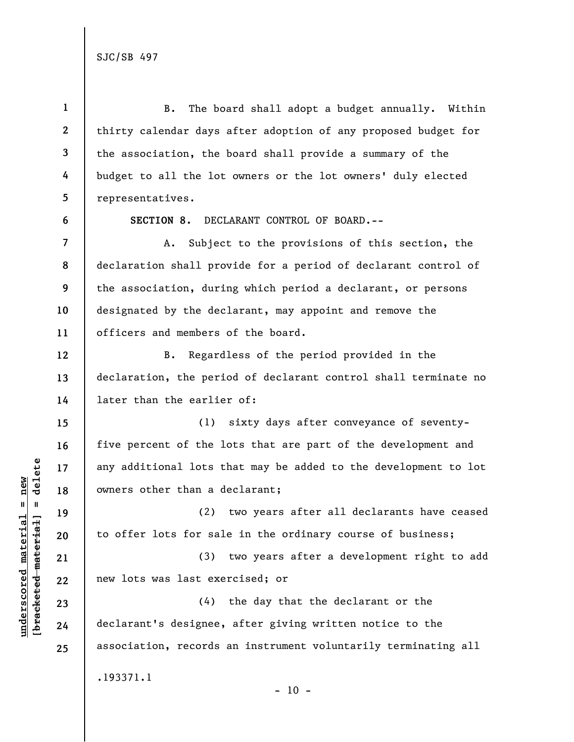**1 2 3 4 5**  B. The board shall adopt a budget annually. Within thirty calendar days after adoption of any proposed budget for the association, the board shall provide a summary of the budget to all the lot owners or the lot owners' duly elected representatives.

**6** 

**7** 

**8** 

**9** 

**10** 

**11** 

**12** 

**13** 

**14** 

**15** 

**16** 

**17** 

**18** 

**19** 

**20** 

**21** 

**22** 

**23** 

**24** 

**25** 

**SECTION 8.** DECLARANT CONTROL OF BOARD.--

A. Subject to the provisions of this section, the declaration shall provide for a period of declarant control of the association, during which period a declarant, or persons designated by the declarant, may appoint and remove the officers and members of the board.

B. Regardless of the period provided in the declaration, the period of declarant control shall terminate no later than the earlier of:

(1) sixty days after conveyance of seventyfive percent of the lots that are part of the development and any additional lots that may be added to the development to lot owners other than a declarant;

(2) two years after all declarants have ceased to offer lots for sale in the ordinary course of business;

(3) two years after a development right to add new lots was last exercised; or

(4) the day that the declarant or the declarant's designee, after giving written notice to the association, records an instrument voluntarily terminating all .193371.1

 $- 10 -$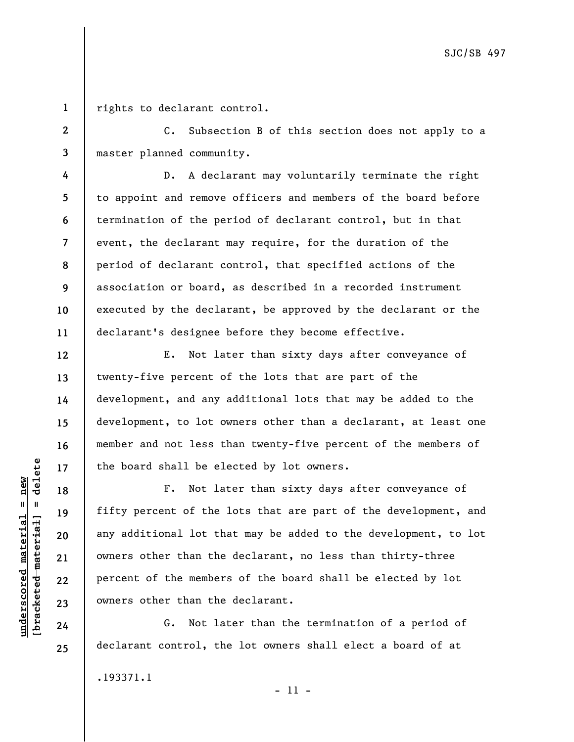**1**  rights to declarant control.

**2** 

**3** 

**4** 

**5** 

**6** 

**7** 

**8** 

**9** 

**10** 

**11** 

**12** 

**13** 

**14** 

**15** 

**16** 

**17** 

**18** 

**19** 

**20** 

**21** 

**22** 

**23** 

**24** 

**25** 

C. Subsection B of this section does not apply to a master planned community.

D. A declarant may voluntarily terminate the right to appoint and remove officers and members of the board before termination of the period of declarant control, but in that event, the declarant may require, for the duration of the period of declarant control, that specified actions of the association or board, as described in a recorded instrument executed by the declarant, be approved by the declarant or the declarant's designee before they become effective.

E. Not later than sixty days after conveyance of twenty-five percent of the lots that are part of the development, and any additional lots that may be added to the development, to lot owners other than a declarant, at least one member and not less than twenty-five percent of the members of the board shall be elected by lot owners.

F. Not later than sixty days after conveyance of fifty percent of the lots that are part of the development, and any additional lot that may be added to the development, to lot owners other than the declarant, no less than thirty-three percent of the members of the board shall be elected by lot owners other than the declarant.

G. Not later than the termination of a period of declarant control, the lot owners shall elect a board of at

.193371.1

 $b$ racketed material] = delete **[bracketed material] = delete**  $underscored material = new$ **underscored material = new**

- 11 -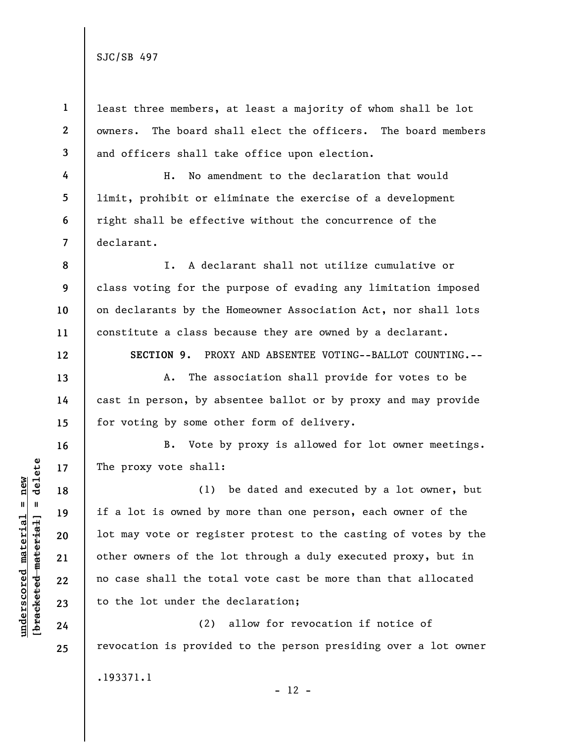**4** 

**5** 

**6** 

**7** 

**8** 

**9** 

**10** 

**11** 

**12** 

**13** 

**14** 

**15** 

**16** 

**17** 

**18** 

**19** 

**20** 

**21** 

**22** 

**23** 

**24** 

**25** 

**1 2 3**  least three members, at least a majority of whom shall be lot owners. The board shall elect the officers. The board members and officers shall take office upon election.

H. No amendment to the declaration that would limit, prohibit or eliminate the exercise of a development right shall be effective without the concurrence of the declarant.

I. A declarant shall not utilize cumulative or class voting for the purpose of evading any limitation imposed on declarants by the Homeowner Association Act, nor shall lots constitute a class because they are owned by a declarant.

**SECTION 9.** PROXY AND ABSENTEE VOTING--BALLOT COUNTING.--

A. The association shall provide for votes to be cast in person, by absentee ballot or by proxy and may provide for voting by some other form of delivery.

B. Vote by proxy is allowed for lot owner meetings. The proxy vote shall:

(1) be dated and executed by a lot owner, but if a lot is owned by more than one person, each owner of the lot may vote or register protest to the casting of votes by the other owners of the lot through a duly executed proxy, but in no case shall the total vote cast be more than that allocated to the lot under the declaration;

(2) allow for revocation if notice of revocation is provided to the person presiding over a lot owner .193371.1  $- 12 -$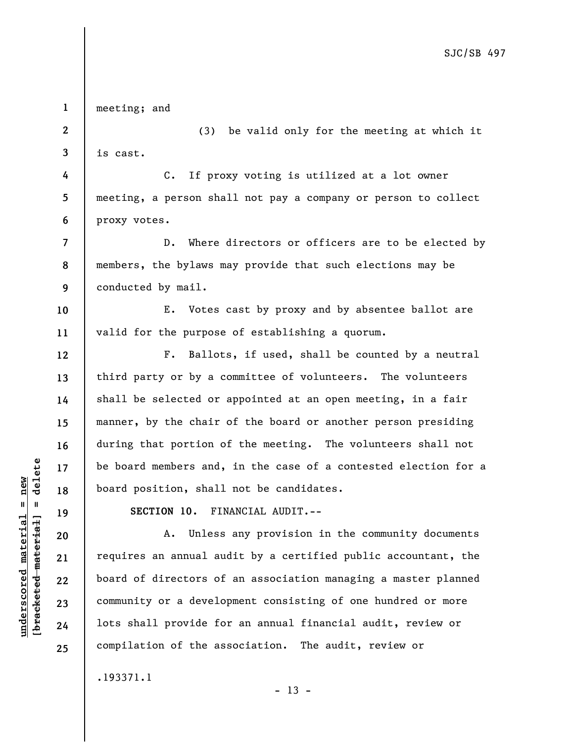**1 2 3 4 5 6 7 8 9 10 11 12 13 14 15 16 17 18 19 20 21 22 23 24 25**  meeting; and (3) be valid only for the meeting at which it is cast. C. If proxy voting is utilized at a lot owner meeting, a person shall not pay a company or person to collect proxy votes. D. Where directors or officers are to be elected by members, the bylaws may provide that such elections may be conducted by mail. E. Votes cast by proxy and by absentee ballot are valid for the purpose of establishing a quorum. F. Ballots, if used, shall be counted by a neutral third party or by a committee of volunteers. The volunteers shall be selected or appointed at an open meeting, in a fair manner, by the chair of the board or another person presiding during that portion of the meeting. The volunteers shall not be board members and, in the case of a contested election for a board position, shall not be candidates. **SECTION 10.** FINANCIAL AUDIT.-- A. Unless any provision in the community documents requires an annual audit by a certified public accountant, the board of directors of an association managing a master planned community or a development consisting of one hundred or more lots shall provide for an annual financial audit, review or compilation of the association. The audit, review or

 $- 13 -$ 

.193371.1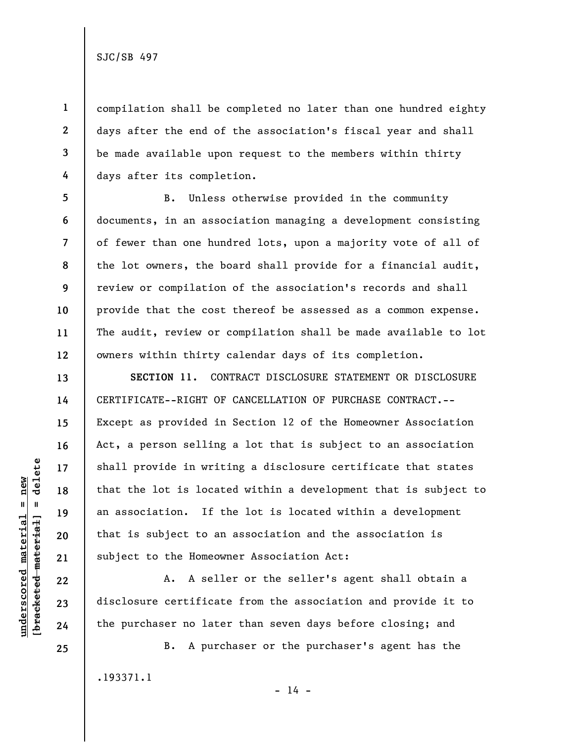**1** 

**2** 

**3** 

**4** 

**5** 

**6** 

**7** 

**8** 

**9** 

**10** 

**11** 

**12** 

**13** 

**14** 

**15** 

**16** 

**17** 

**18** 

**19** 

**20** 

**21** 

**22** 

**23** 

**24** 

compilation shall be completed no later than one hundred eighty days after the end of the association's fiscal year and shall be made available upon request to the members within thirty days after its completion.

B. Unless otherwise provided in the community documents, in an association managing a development consisting of fewer than one hundred lots, upon a majority vote of all of the lot owners, the board shall provide for a financial audit, review or compilation of the association's records and shall provide that the cost thereof be assessed as a common expense. The audit, review or compilation shall be made available to lot owners within thirty calendar days of its completion.

**SECTION 11.** CONTRACT DISCLOSURE STATEMENT OR DISCLOSURE CERTIFICATE--RIGHT OF CANCELLATION OF PURCHASE CONTRACT.-- Except as provided in Section 12 of the Homeowner Association Act, a person selling a lot that is subject to an association shall provide in writing a disclosure certificate that states that the lot is located within a development that is subject to an association. If the lot is located within a development that is subject to an association and the association is subject to the Homeowner Association Act:

A. A seller or the seller's agent shall obtain a disclosure certificate from the association and provide it to the purchaser no later than seven days before closing; and

.193371.1

B. A purchaser or the purchaser's agent has the

**25** 

**underscored material = new [bracketed material] = delete**

 $b$ racketed material] = delete  $underscored material = new$ 

 $- 14 -$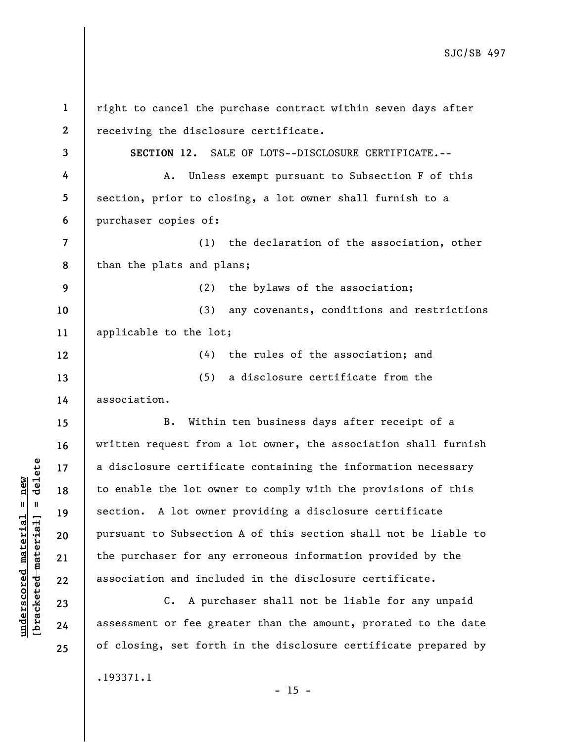| $\mathbf{1}$             | right to cancel the purchase contract within seven days after   |
|--------------------------|-----------------------------------------------------------------|
| $\boldsymbol{2}$         | receiving the disclosure certificate.                           |
| 3                        | SECTION 12. SALE OF LOTS--DISCLOSURE CERTIFICATE.--             |
| 4                        | Unless exempt pursuant to Subsection F of this<br>Α.            |
| 5                        | section, prior to closing, a lot owner shall furnish to a       |
| 6                        | purchaser copies of:                                            |
| $\overline{\mathcal{L}}$ | (1) the declaration of the association, other                   |
| 8                        | than the plats and plans;                                       |
| 9                        | (2) the bylaws of the association;                              |
| 10                       | any covenants, conditions and restrictions<br>(3)               |
| 11                       | applicable to the lot;                                          |
| 12                       | (4) the rules of the association; and                           |
| 13                       | a disclosure certificate from the<br>(5)                        |
| 14                       | association.                                                    |
| 15                       | Within ten business days after receipt of a<br>B.               |
| 16                       | written request from a lot owner, the association shall furnish |
| 17                       | a disclosure certificate containing the information necessary   |
| 18                       | to enable the lot owner to comply with the provisions of this   |
| 19                       | section. A lot owner providing a disclosure certificate         |
| 20                       | pursuant to Subsection A of this section shall not be liable to |
| 21                       | the purchaser for any erroneous information provided by the     |
| 22                       | association and included in the disclosure certificate.         |
| 23                       | C. A purchaser shall not be liable for any unpaid               |
| 24                       | assessment or fee greater than the amount, prorated to the date |
| 25                       | of closing, set forth in the disclosure certificate prepared by |
|                          | .193371.1                                                       |

**underscored material = new [bracketed material] = delete**

 $[**bracket**et~~ed matched~~ + **net** + **1** + **1**$  = delete  $underscored material = new$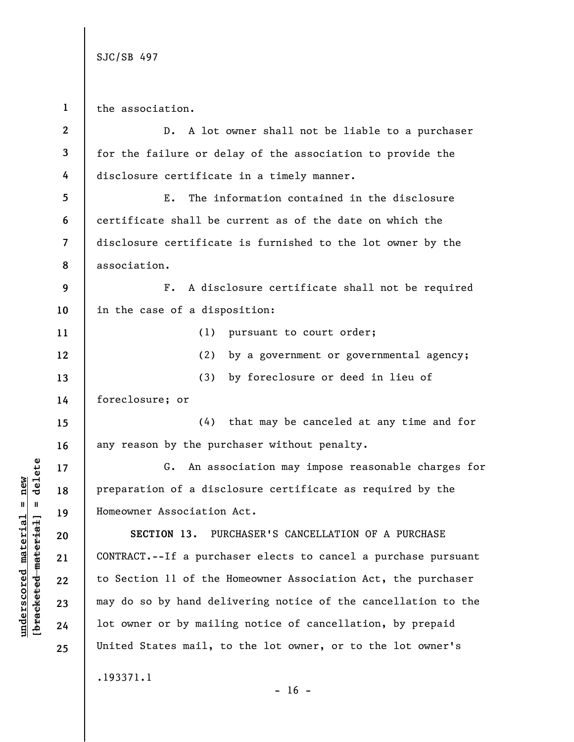**1**  the association.

**underscored material = new [bracketed material] = delete**

 $b$ racketed material] = delete  $underscored material = new$ 

**2 3 4 5 6 7 8 9 10 11 12 13 14 15 16 17 18 19 20 21 22 23 24 25**  D. A lot owner shall not be liable to a purchaser for the failure or delay of the association to provide the disclosure certificate in a timely manner. E. The information contained in the disclosure certificate shall be current as of the date on which the disclosure certificate is furnished to the lot owner by the association. F. A disclosure certificate shall not be required in the case of a disposition: (1) pursuant to court order; (2) by a government or governmental agency; (3) by foreclosure or deed in lieu of foreclosure; or (4) that may be canceled at any time and for any reason by the purchaser without penalty. G. An association may impose reasonable charges for preparation of a disclosure certificate as required by the Homeowner Association Act. **SECTION 13.** PURCHASER'S CANCELLATION OF A PURCHASE CONTRACT.--If a purchaser elects to cancel a purchase pursuant to Section 11 of the Homeowner Association Act, the purchaser may do so by hand delivering notice of the cancellation to the lot owner or by mailing notice of cancellation, by prepaid United States mail, to the lot owner, or to the lot owner's .193371.1  $- 16 -$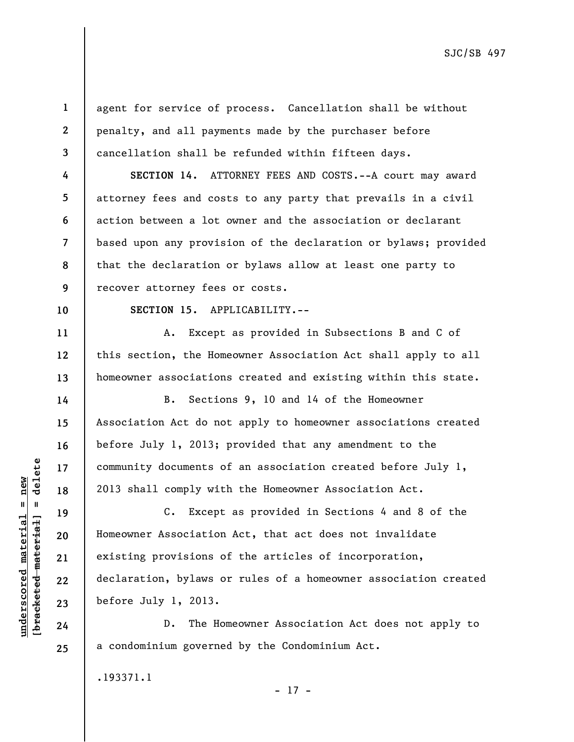**1 2** 

**3** 

**4** 

**5** 

**6** 

**7** 

**8** 

**9** 

agent for service of process. Cancellation shall be without penalty, and all payments made by the purchaser before cancellation shall be refunded within fifteen days.

**SECTION 14.** ATTORNEY FEES AND COSTS.--A court may award attorney fees and costs to any party that prevails in a civil action between a lot owner and the association or declarant based upon any provision of the declaration or bylaws; provided that the declaration or bylaws allow at least one party to recover attorney fees or costs.

**10** 

**11** 

**12** 

**13** 

**14** 

**15** 

**16** 

**17** 

**18** 

**19** 

**20** 

**21** 

**22** 

**23** 

**24** 

**25** 

**SECTION 15.** APPLICABILITY.--

A. Except as provided in Subsections B and C of this section, the Homeowner Association Act shall apply to all homeowner associations created and existing within this state.

B. Sections 9, 10 and 14 of the Homeowner Association Act do not apply to homeowner associations created before July 1, 2013; provided that any amendment to the community documents of an association created before July 1, 2013 shall comply with the Homeowner Association Act.

C. Except as provided in Sections 4 and 8 of the Homeowner Association Act, that act does not invalidate existing provisions of the articles of incorporation, declaration, bylaws or rules of a homeowner association created before July 1, 2013.

D. The Homeowner Association Act does not apply to a condominium governed by the Condominium Act.

.193371.1

delete **[bracketed material] = delete**  $underscored material = new$ **underscored material = new**  $\frac{1}{2}$